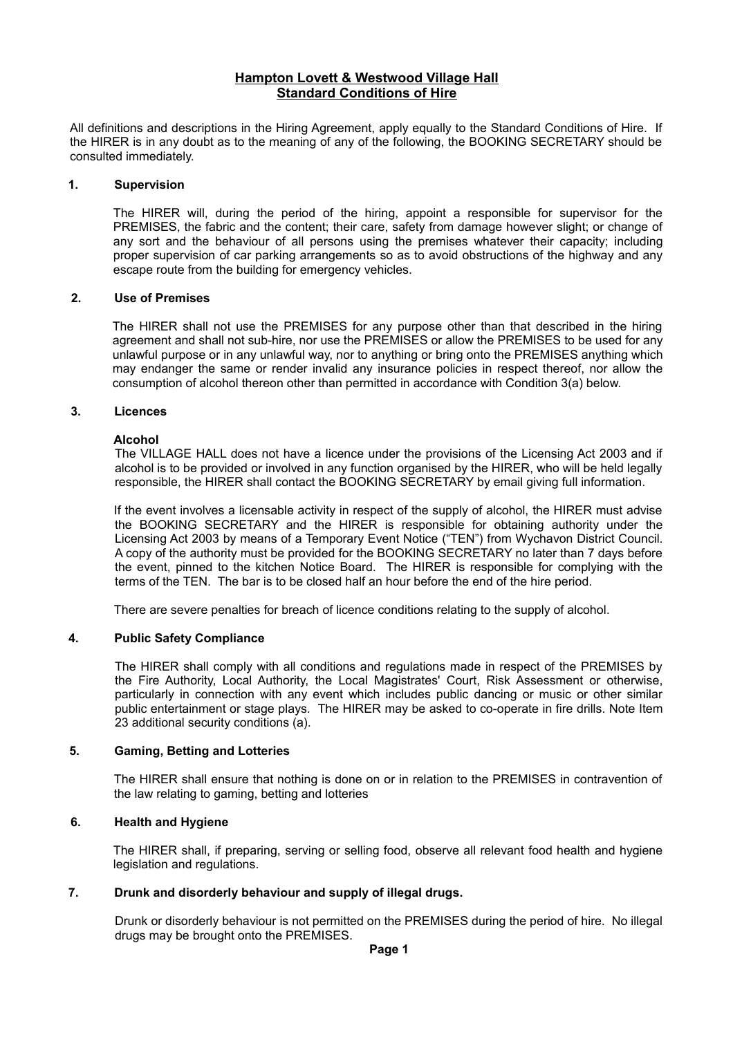# **Hampton Lovett & Westwood Village Hall Standard Conditions of Hire**

All definitions and descriptions in the Hiring Agreement, apply equally to the Standard Conditions of Hire. If the HIRER is in any doubt as to the meaning of any of the following, the BOOKING SECRETARY should be consulted immediately.

### **1. Supervision**

The HIRER will, during the period of the hiring, appoint a responsible for supervisor for the PREMISES, the fabric and the content; their care, safety from damage however slight; or change of any sort and the behaviour of all persons using the premises whatever their capacity; including proper supervision of car parking arrangements so as to avoid obstructions of the highway and any escape route from the building for emergency vehicles.

## **2. Use of Premises**

The HIRER shall not use the PREMISES for any purpose other than that described in the hiring agreement and shall not sub-hire, nor use the PREMISES or allow the PREMISES to be used for any unlawful purpose or in any unlawful way, nor to anything or bring onto the PREMISES anything which may endanger the same or render invalid any insurance policies in respect thereof, nor allow the consumption of alcohol thereon other than permitted in accordance with Condition 3(a) below.

## **3. Licences**

## **Alcohol**

The VILLAGE HALL does not have a licence under the provisions of the Licensing Act 2003 and if alcohol is to be provided or involved in any function organised by the HIRER, who will be held legally responsible, the HIRER shall contact the BOOKING SECRETARY by email giving full information.

If the event involves a licensable activity in respect of the supply of alcohol, the HIRER must advise the BOOKING SECRETARY and the HIRER is responsible for obtaining authority under the Licensing Act 2003 by means of a Temporary Event Notice ("TEN") from Wychavon District Council. A copy of the authority must be provided for the BOOKING SECRETARY no later than 7 days before the event, pinned to the kitchen Notice Board. The HIRER is responsible for complying with the terms of the TEN. The bar is to be closed half an hour before the end of the hire period.

There are severe penalties for breach of licence conditions relating to the supply of alcohol.

# **4. Public Safety Compliance**

The HIRER shall comply with all conditions and regulations made in respect of the PREMISES by the Fire Authority, Local Authority, the Local Magistrates' Court, Risk Assessment or otherwise, particularly in connection with any event which includes public dancing or music or other similar public entertainment or stage plays. The HIRER may be asked to co-operate in fire drills. Note Item 23 additional security conditions (a).

#### **5. Gaming, Betting and Lotteries**

The HIRER shall ensure that nothing is done on or in relation to the PREMISES in contravention of the law relating to gaming, betting and lotteries

# **6. Health and Hygiene**

The HIRER shall, if preparing, serving or selling food, observe all relevant food health and hygiene legislation and regulations.

# **7. Drunk and disorderly behaviour and supply of illegal drugs.**

Drunk or disorderly behaviour is not permitted on the PREMISES during the period of hire. No illegal drugs may be brought onto the PREMISES.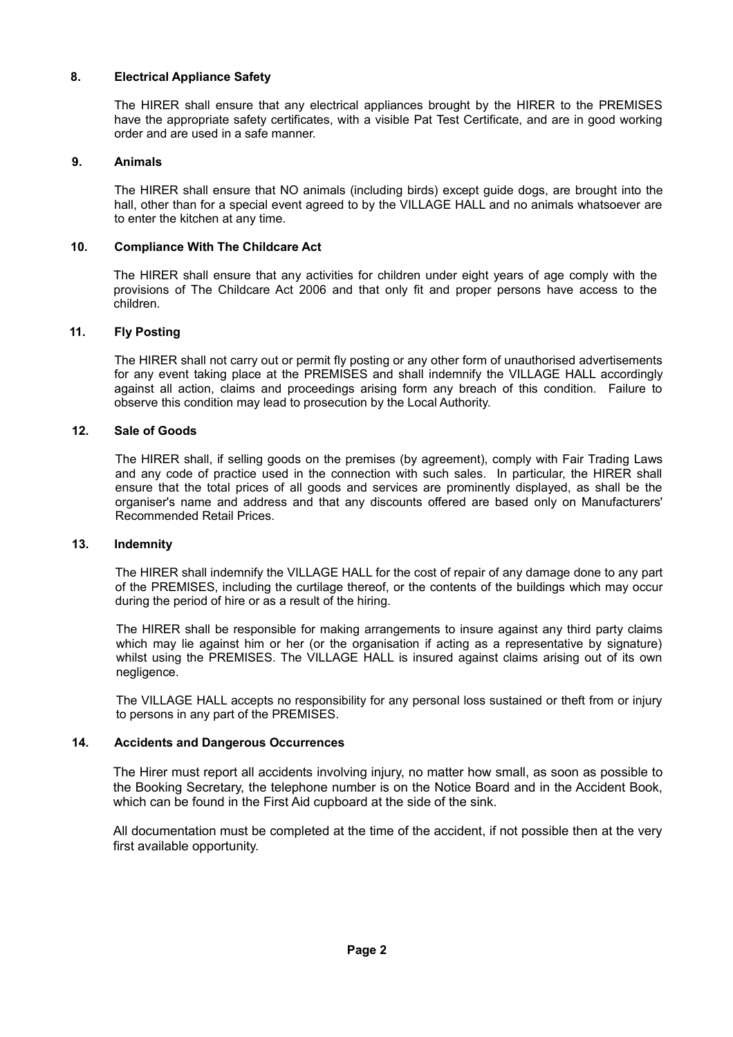# **8. Electrical Appliance Safety**

The HIRER shall ensure that any electrical appliances brought by the HIRER to the PREMISES have the appropriate safety certificates, with a visible Pat Test Certificate, and are in good working order and are used in a safe manner.

### **9. Animals**

The HIRER shall ensure that NO animals (including birds) except guide dogs, are brought into the hall, other than for a special event agreed to by the VILLAGE HALL and no animals whatsoever are to enter the kitchen at any time.

## **10. Compliance With The Childcare Act**

The HIRER shall ensure that any activities for children under eight years of age comply with the provisions of The Childcare Act 2006 and that only fit and proper persons have access to the children.

## **11. Fly Posting**

The HIRER shall not carry out or permit fly posting or any other form of unauthorised advertisements for any event taking place at the PREMISES and shall indemnify the VILLAGE HALL accordingly against all action, claims and proceedings arising form any breach of this condition. Failure to observe this condition may lead to prosecution by the Local Authority.

#### **12. Sale of Goods**

The HIRER shall, if selling goods on the premises (by agreement), comply with Fair Trading Laws and any code of practice used in the connection with such sales. In particular, the HIRER shall ensure that the total prices of all goods and services are prominently displayed, as shall be the organiser's name and address and that any discounts offered are based only on Manufacturers' Recommended Retail Prices.

#### **13. Indemnity**

The HIRER shall indemnify the VILLAGE HALL for the cost of repair of any damage done to any part of the PREMISES, including the curtilage thereof, or the contents of the buildings which may occur during the period of hire or as a result of the hiring.

The HIRER shall be responsible for making arrangements to insure against any third party claims which may lie against him or her (or the organisation if acting as a representative by signature) whilst using the PREMISES. The VILLAGE HALL is insured against claims arising out of its own negligence.

The VILLAGE HALL accepts no responsibility for any personal loss sustained or theft from or injury to persons in any part of the PREMISES.

#### **14. Accidents and Dangerous Occurrences**

The Hirer must report all accidents involving injury, no matter how small, as soon as possible to the Booking Secretary, the telephone number is on the Notice Board and in the Accident Book, which can be found in the First Aid cupboard at the side of the sink.

All documentation must be completed at the time of the accident, if not possible then at the very first available opportunity.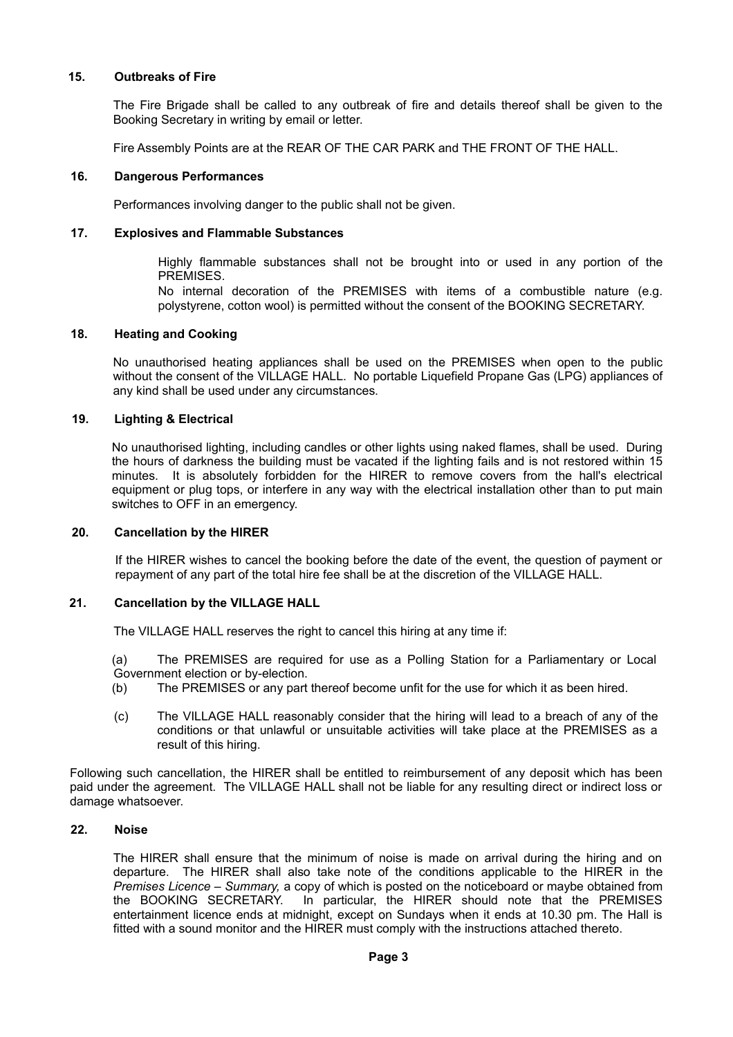### **15. Outbreaks of Fire**

The Fire Brigade shall be called to any outbreak of fire and details thereof shall be given to the Booking Secretary in writing by email or letter.

Fire Assembly Points are at the REAR OF THE CAR PARK and THE FRONT OF THE HALL.

### **16. Dangerous Performances**

Performances involving danger to the public shall not be given.

## **17. Explosives and Flammable Substances**

Highly flammable substances shall not be brought into or used in any portion of the PREMISES.

No internal decoration of the PREMISES with items of a combustible nature (e.g. polystyrene, cotton wool) is permitted without the consent of the BOOKING SECRETARY.

# **18. Heating and Cooking**

No unauthorised heating appliances shall be used on the PREMISES when open to the public without the consent of the VILLAGE HALL. No portable Liquefield Propane Gas (LPG) appliances of any kind shall be used under any circumstances.

## **19. Lighting & Electrical**

No unauthorised lighting, including candles or other lights using naked flames, shall be used. During the hours of darkness the building must be vacated if the lighting fails and is not restored within 15 minutes. It is absolutely forbidden for the HIRER to remove covers from the hall's electrical equipment or plug tops, or interfere in any way with the electrical installation other than to put main switches to OFF in an emergency.

#### **20. Cancellation by the HIRER**

If the HIRER wishes to cancel the booking before the date of the event, the question of payment or repayment of any part of the total hire fee shall be at the discretion of the VILLAGE HALL.

## **21. Cancellation by the VILLAGE HALL**

The VILLAGE HALL reserves the right to cancel this hiring at any time if:

(a) The PREMISES are required for use as a Polling Station for a Parliamentary or Local Government election or by-election.

- (b) The PREMISES or any part thereof become unfit for the use for which it as been hired.
- (c) The VILLAGE HALL reasonably consider that the hiring will lead to a breach of any of the conditions or that unlawful or unsuitable activities will take place at the PREMISES as a result of this hiring.

Following such cancellation, the HIRER shall be entitled to reimbursement of any deposit which has been paid under the agreement. The VILLAGE HALL shall not be liable for any resulting direct or indirect loss or damage whatsoever.

## **22. Noise**

The HIRER shall ensure that the minimum of noise is made on arrival during the hiring and on departure. The HIRER shall also take note of the conditions applicable to the HIRER in the *Premises Licence – Summary,* a copy of which is posted on the noticeboard or maybe obtained from the BOOKING SECRETARY. In particular, the HIRER should note that the PREMISES entertainment licence ends at midnight, except on Sundays when it ends at 10.30 pm. The Hall is fitted with a sound monitor and the HIRER must comply with the instructions attached thereto.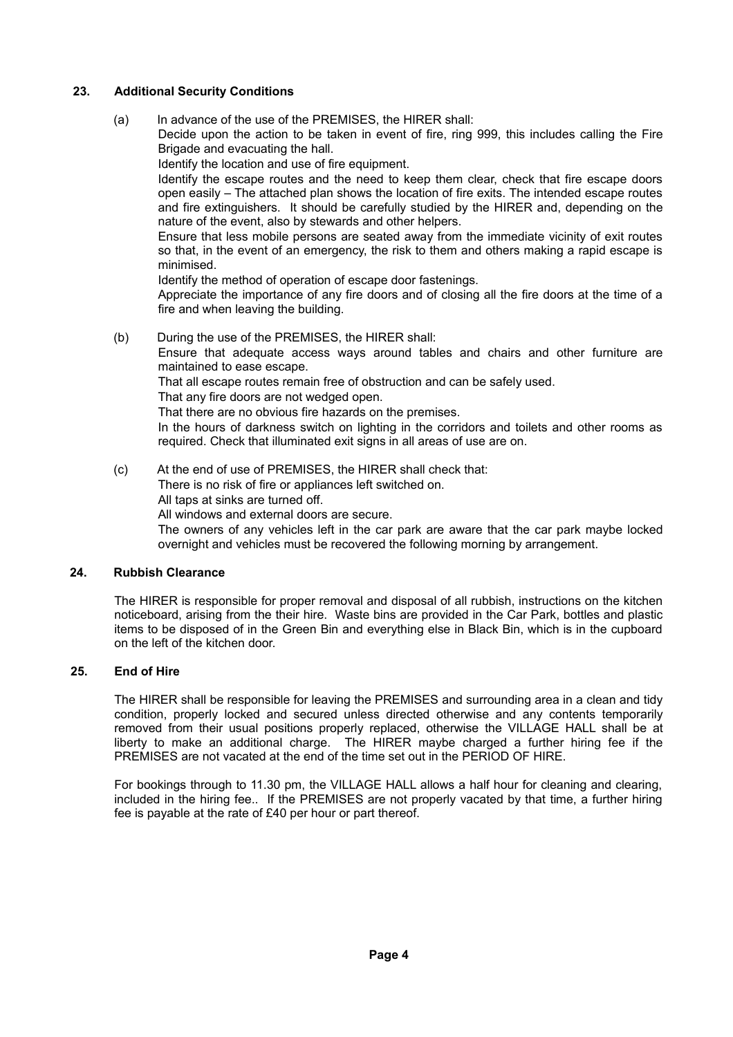# **23. Additional Security Conditions**

(a) In advance of the use of the PREMISES, the HIRER shall: Decide upon the action to be taken in event of fire, ring 999, this includes calling the Fire Brigade and evacuating the hall. Identify the location and use of fire equipment. Identify the escape routes and the need to keep them clear, check that fire escape doors open easily – The attached plan shows the location of fire exits. The intended escape routes and fire extinguishers. It should be carefully studied by the HIRER and, depending on the nature of the event, also by stewards and other helpers. Ensure that less mobile persons are seated away from the immediate vicinity of exit routes so that, in the event of an emergency, the risk to them and others making a rapid escape is minimised. Identify the method of operation of escape door fastenings. Appreciate the importance of any fire doors and of closing all the fire doors at the time of a fire and when leaving the building. (b) During the use of the PREMISES, the HIRER shall: Ensure that adequate access ways around tables and chairs and other furniture are maintained to ease escape. That all escape routes remain free of obstruction and can be safely used. That any fire doors are not wedged open. That there are no obvious fire hazards on the premises. In the hours of darkness switch on lighting in the corridors and toilets and other rooms as required. Check that illuminated exit signs in all areas of use are on.

(c) At the end of use of PREMISES, the HIRER shall check that: There is no risk of fire or appliances left switched on. All taps at sinks are turned off. All windows and external doors are secure. The owners of any vehicles left in the car park are aware that the car park maybe locked overnight and vehicles must be recovered the following morning by arrangement.

## **24. Rubbish Clearance**

The HIRER is responsible for proper removal and disposal of all rubbish, instructions on the kitchen noticeboard, arising from the their hire. Waste bins are provided in the Car Park, bottles and plastic items to be disposed of in the Green Bin and everything else in Black Bin, which is in the cupboard on the left of the kitchen door.

# **25. End of Hire**

The HIRER shall be responsible for leaving the PREMISES and surrounding area in a clean and tidy condition, properly locked and secured unless directed otherwise and any contents temporarily removed from their usual positions properly replaced, otherwise the VILLAGE HALL shall be at liberty to make an additional charge. The HIRER maybe charged a further hiring fee if the PREMISES are not vacated at the end of the time set out in the PERIOD OF HIRE.

For bookings through to 11.30 pm, the VILLAGE HALL allows a half hour for cleaning and clearing, included in the hiring fee.. If the PREMISES are not properly vacated by that time, a further hiring fee is payable at the rate of £40 per hour or part thereof.